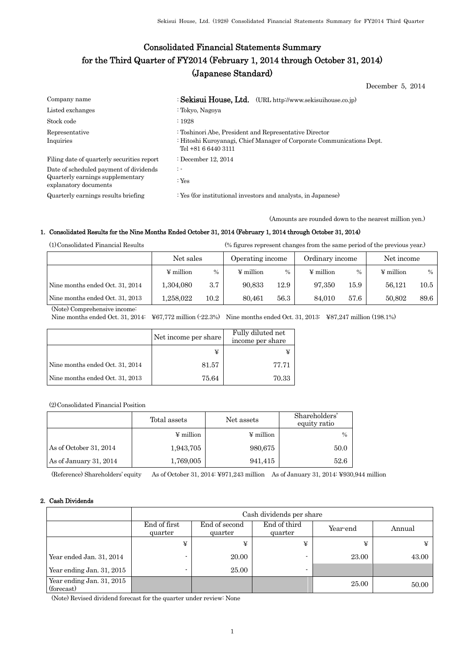# Consolidated Financial Statements Summary for the Third Quarter of FY2014 (February 1, 2014 through October 31, 2014) (Japanese Standard)

December 5, 2014

| Company name                                                                                        | : Sekisui House, Ltd. (URL http://www.sekisuihouse.co.jp)                                                                                              |
|-----------------------------------------------------------------------------------------------------|--------------------------------------------------------------------------------------------------------------------------------------------------------|
| Listed exchanges                                                                                    | : Tokyo, Nagoya                                                                                                                                        |
| Stock code                                                                                          | .1928                                                                                                                                                  |
| Representative<br>Inquiries                                                                         | : Toshinori Abe, President and Representative Director<br>: Hitoshi Kuroyanagi, Chief Manager of Corporate Communications Dept.<br>Tel +81 6 6440 3111 |
| Filing date of quarterly securities report                                                          | : December 12, 2014                                                                                                                                    |
| Date of scheduled payment of dividends<br>Quarterly earnings supplementary<br>explanatory documents | $\ddot{\phantom{1}}$<br>: Yes                                                                                                                          |
| Quarterly earnings results briefing                                                                 | : Yes (for institutional investors and analysts, in Japanese)                                                                                          |

(Amounts are rounded down to the nearest million yen.)

#### 1. Consolidated Results for the Nine Months Ended October 31, 2014 (February 1, 2014 through October 31, 2014)

(1)Consolidated Financial Results (% figures represent changes from the same period of the previous year.)

|                                 | Net sales      |      | Operating income |      | Ordinary income |      | Net income     |      |
|---------------------------------|----------------|------|------------------|------|-----------------|------|----------------|------|
|                                 | $\Psi$ million | $\%$ | $\Psi$ million   | $\%$ | $\Psi$ million  | $\%$ | $\Psi$ million | $\%$ |
| Nine months ended Oct. 31, 2014 | 1.304.080      | 3.7  | 90.833           | 12.9 | 97.350          | 15.9 | 56.121         | 10.5 |
| Nine months ended Oct. 31, 2013 | 1.258.022      | 10.2 | 80.461           | 56.3 | 84.010          | 57.6 | 50.802         | 89.6 |

(Note) Comprehensive income:

Nine months ended Oct. 31, 2014: ¥67,772 million (-22.3%) Nine months ended Oct. 31, 2013: ¥87,247 million (198.1%)

|                                 | Net income per share | Fully diluted net<br>income per share |
|---------------------------------|----------------------|---------------------------------------|
|                                 |                      |                                       |
| Nine months ended Oct. 31, 2014 | 81.57                | 77.71                                 |
| Nine months ended Oct. 31, 2013 | 75.64                | 70.33                                 |

(2)Consolidated Financial Position

|                        | Total assets   | Net assets            | Shareholders'<br>equity ratio |
|------------------------|----------------|-----------------------|-------------------------------|
|                        | $\Psi$ million | $\frac{1}{2}$ million | $\%$                          |
| As of October 31, 2014 | 1,943,705      | 980,675               | 50.0                          |
| As of January 31, 2014 | 1,769,005      | 941,415               | 52.6                          |

(Reference) Shareholders' equity As of October 31, 2014: ¥971,243 million As of January 31, 2014: ¥930,944 million

### 2. Cash Dividends

|                                         | Cash dividends per share |                                                                 |                |       |       |  |  |  |  |
|-----------------------------------------|--------------------------|-----------------------------------------------------------------|----------------|-------|-------|--|--|--|--|
|                                         | End of first<br>quarter  | End of third<br>End of second<br>Year-end<br>quarter<br>quarter |                |       |       |  |  |  |  |
|                                         | ¥                        | ¥                                                               | ¥              | ¥     | ¥     |  |  |  |  |
| Year ended Jan. 31, 2014                |                          | 20.00                                                           |                | 23.00 | 43.00 |  |  |  |  |
| Year ending Jan. $31, 2015$             |                          | 25.00                                                           | $\blacksquare$ |       |       |  |  |  |  |
| Year ending Jan. 31, 2015<br>(forecast) |                          |                                                                 |                | 25.00 | 50.00 |  |  |  |  |

(Note) Revised dividend forecast for the quarter under review: None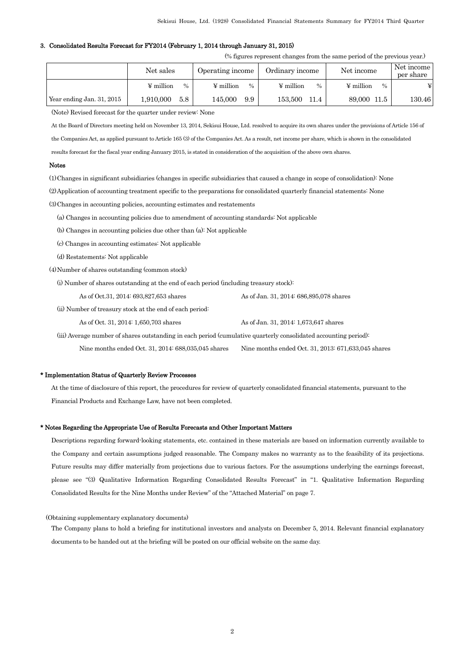#### 3. Consolidated Results Forecast for FY2014 (February 1, 2014 through January 31, 2015)

(% figures represent changes from the same period of the previous year.)

|                           | Net sales                       | Operating income       | Ordinary income        | Net income                             |        |
|---------------------------|---------------------------------|------------------------|------------------------|----------------------------------------|--------|
|                           | $\Psi$ million<br>$\frac{0}{0}$ | $\Psi$ million<br>$\%$ | $\Psi$ million<br>$\%$ | $\frac{1}{2}$ million<br>$\frac{0}{0}$ | ¥      |
| Year ending Jan. 31, 2015 | 5.8<br>1.910.000                | 145.000<br>9.9         | 153.500<br>11.4        | 89.000<br>11.5                         | 130.46 |

(Note) Revised forecast for the quarter under review: None

At the Board of Directors meeting held on November 13, 2014, Sekisui House, Ltd. resolved to acquire its own shares under the provisions of Article 156 of

the Companies Act, as applied pursuant to Article 165 (3) of the Companies Act. As a result, net income per share, which is shown in the consolidated

results forecast for the fiscal year ending January 2015, is stated in consideration of the acquisition of the above own shares.

#### Notes

(1)Changes in significant subsidiaries (changes in specific subsidiaries that caused a change in scope of consolidation): None

(2)Application of accounting treatment specific to the preparations for consolidated quarterly financial statements: None

(3)Changes in accounting policies, accounting estimates and restatements

(a) Changes in accounting policies due to amendment of accounting standards: Not applicable

(b) Changes in accounting policies due other than (a): Not applicable

(c) Changes in accounting estimates: Not applicable

(d) Restatements: Not applicable

(4)Number of shares outstanding (common stock)

(i) Number of shares outstanding at the end of each period (including treasury stock):

As of Oct.31, 2014: 693,827,653 shares As of Jan. 31, 2014: 686,895,078 shares

(ii) Number of treasury stock at the end of each period:

As of Oct. 31, 2014: 1,650,703 shares As of Jan. 31, 2014: 1,673,647 shares

(iii) Average number of shares outstanding in each period (cumulative quarterly consolidated accounting period):

Nine months ended Oct. 31, 2014: 688,035,045 shares Nine months ended Oct. 31, 2013: 671,633,045 shares

#### \* Implementation Status of Quarterly Review Processes

At the time of disclosure of this report, the procedures for review of quarterly consolidated financial statements, pursuant to the Financial Products and Exchange Law, have not been completed.

#### \* Notes Regarding the Appropriate Use of Results Forecasts and Other Important Matters

Descriptions regarding forward-looking statements, etc. contained in these materials are based on information currently available to the Company and certain assumptions judged reasonable. The Company makes no warranty as to the feasibility of its projections. Future results may differ materially from projections due to various factors. For the assumptions underlying the earnings forecast, please see "(3) Qualitative Information Regarding Consolidated Results Forecast" in "1. Qualitative Information Regarding Consolidated Results for the Nine Months under Review" of the "Attached Material" on page 7.

#### (Obtaining supplementary explanatory documents)

The Company plans to hold a briefing for institutional investors and analysts on December 5, 2014. Relevant financial explanatory documents to be handed out at the briefing will be posted on our official website on the same day.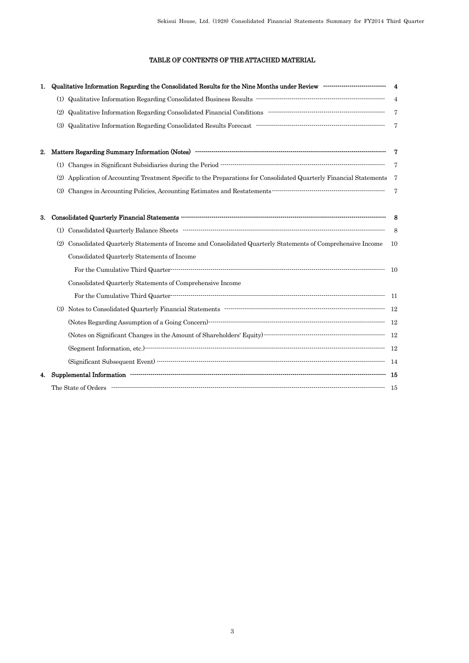## TABLE OF CONTENTS OF THE ATTACHED MATERIAL

| 1. | Qualitative Information Regarding the Consolidated Results for the Nine Months under Review Transmissions and R        | $\overline{\mathbf{4}}$ |
|----|------------------------------------------------------------------------------------------------------------------------|-------------------------|
|    |                                                                                                                        |                         |
|    | (2)                                                                                                                    | $\overline{7}$          |
|    |                                                                                                                        | $\overline{7}$          |
| 2. |                                                                                                                        | - 7                     |
|    | (1) Changes in Significant Subsidiaries during the Period $\begin{array}{r} 7 \\ 7 \end{array}$                        |                         |
|    | (2) Application of Accounting Treatment Specific to the Preparations for Consolidated Quarterly Financial Statements 7 |                         |
|    |                                                                                                                        | $\overline{7}$          |
| 3. |                                                                                                                        | -8                      |
|    |                                                                                                                        | 8                       |
|    | Consolidated Quarterly Statements of Income and Consolidated Quarterly Statements of Comprehensive Income<br>(2)       | -10                     |
|    | Consolidated Quarterly Statements of Income                                                                            |                         |
|    |                                                                                                                        |                         |
|    | Consolidated Quarterly Statements of Comprehensive Income                                                              |                         |
|    |                                                                                                                        | - 11                    |
|    | (3)                                                                                                                    |                         |
|    |                                                                                                                        |                         |
|    |                                                                                                                        |                         |
|    |                                                                                                                        |                         |
|    |                                                                                                                        |                         |
| 4. |                                                                                                                        |                         |
|    | The State of Orders $\cdots$ 15                                                                                        |                         |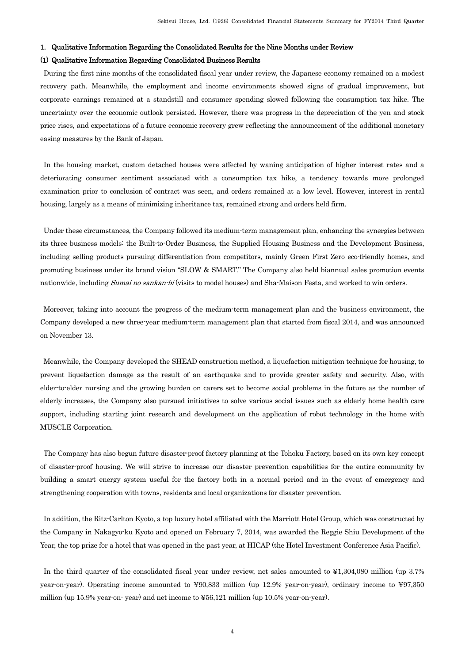#### 1. Qualitative Information Regarding the Consolidated Results for the Nine Months under Review

#### (1) Qualitative Information Regarding Consolidated Business Results

During the first nine months of the consolidated fiscal year under review, the Japanese economy remained on a modest recovery path. Meanwhile, the employment and income environments showed signs of gradual improvement, but corporate earnings remained at a standstill and consumer spending slowed following the consumption tax hike. The uncertainty over the economic outlook persisted. However, there was progress in the depreciation of the yen and stock price rises, and expectations of a future economic recovery grew reflecting the announcement of the additional monetary easing measures by the Bank of Japan.

In the housing market, custom detached houses were affected by waning anticipation of higher interest rates and a deteriorating consumer sentiment associated with a consumption tax hike, a tendency towards more prolonged examination prior to conclusion of contract was seen, and orders remained at a low level. However, interest in rental housing, largely as a means of minimizing inheritance tax, remained strong and orders held firm.

Under these circumstances, the Company followed its medium-term management plan, enhancing the synergies between its three business models: the Built-to-Order Business, the Supplied Housing Business and the Development Business, including selling products pursuing differentiation from competitors, mainly Green First Zero eco-friendly homes, and promoting business under its brand vision "SLOW & SMART." The Company also held biannual sales promotion events nationwide, including *Sumai no sankan-bi* (visits to model houses) and Sha-Maison Festa, and worked to win orders.

Moreover, taking into account the progress of the medium-term management plan and the business environment, the Company developed a new three-year medium-term management plan that started from fiscal 2014, and was announced on November 13.

Meanwhile, the Company developed the SHEAD construction method, a liquefaction mitigation technique for housing, to prevent liquefaction damage as the result of an earthquake and to provide greater safety and security. Also, with elder-to-elder nursing and the growing burden on carers set to become social problems in the future as the number of elderly increases, the Company also pursued initiatives to solve various social issues such as elderly home health care support, including starting joint research and development on the application of robot technology in the home with MUSCLE Corporation.

The Company has also begun future disaster-proof factory planning at the Tohoku Factory, based on its own key concept of disaster-proof housing. We will strive to increase our disaster prevention capabilities for the entire community by building a smart energy system useful for the factory both in a normal period and in the event of emergency and strengthening cooperation with towns, residents and local organizations for disaster prevention.

In addition, the Ritz-Carlton Kyoto, a top luxury hotel affiliated with the Marriott Hotel Group, which was constructed by the Company in Nakagyo-ku Kyoto and opened on February 7, 2014, was awarded the Reggie Shiu Development of the Year, the top prize for a hotel that was opened in the past year, at HICAP (the Hotel Investment Conference Asia Pacific).

In the third quarter of the consolidated fiscal year under review, net sales amounted to ¥1,304,080 million (up 3.7%) year-on-year). Operating income amounted to ¥90,833 million (up 12.9% year-on-year), ordinary income to ¥97,350 million (up 15.9% year-on- year) and net income to ¥56,121 million (up 10.5% year-on-year).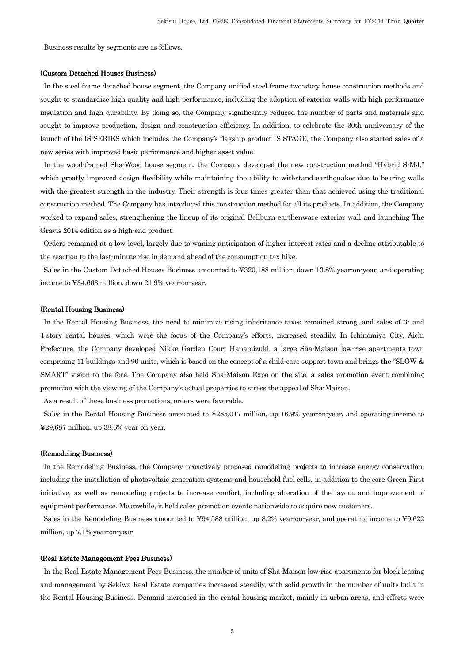Business results by segments are as follows.

#### (Custom Detached Houses Business)

In the steel frame detached house segment, the Company unified steel frame two-story house construction methods and sought to standardize high quality and high performance, including the adoption of exterior walls with high performance insulation and high durability. By doing so, the Company significantly reduced the number of parts and materials and sought to improve production, design and construction efficiency. In addition, to celebrate the 30th anniversary of the launch of the IS SERIES which includes the Company's flagship product IS STAGE, the Company also started sales of a new series with improved basic performance and higher asset value.

In the wood-framed Sha-Wood house segment, the Company developed the new construction method "Hybrid S-MJ," which greatly improved design flexibility while maintaining the ability to withstand earthquakes due to bearing walls with the greatest strength in the industry. Their strength is four times greater than that achieved using the traditional construction method. The Company has introduced this construction method for all its products. In addition, the Company worked to expand sales, strengthening the lineup of its original Bellburn earthenware exterior wall and launching The Gravis 2014 edition as a high-end product.

Orders remained at a low level, largely due to waning anticipation of higher interest rates and a decline attributable to the reaction to the last-minute rise in demand ahead of the consumption tax hike.

Sales in the Custom Detached Houses Business amounted to ¥320,188 million, down 13.8% year-on-year, and operating income to ¥34,663 million, down 21.9% year-on-year.

#### (Rental Housing Business)

In the Rental Housing Business, the need to minimize rising inheritance taxes remained strong, and sales of 3- and 4-story rental houses, which were the focus of the Company's efforts, increased steadily. In Ichinomiya City, Aichi Prefecture, the Company developed Nikke Garden Court Hanamizuki, a large Sha-Maison low-rise apartments town comprising 11 buildings and 90 units, which is based on the concept of a child-care support town and brings the "SLOW & SMART" vision to the fore. The Company also held Sha-Maison Expo on the site, a sales promotion event combining promotion with the viewing of the Company's actual properties to stress the appeal of Sha-Maison.

As a result of these business promotions, orders were favorable.

Sales in the Rental Housing Business amounted to ¥285,017 million, up 16.9% year-on-year, and operating income to ¥29,687 million, up 38.6% year-on-year.

#### (Remodeling Business)

In the Remodeling Business, the Company proactively proposed remodeling projects to increase energy conservation, including the installation of photovoltaic generation systems and household fuel cells, in addition to the core Green First initiative, as well as remodeling projects to increase comfort, including alteration of the layout and improvement of equipment performance. Meanwhile, it held sales promotion events nationwide to acquire new customers.

Sales in the Remodeling Business amounted to ¥94,588 million, up 8.2% year-on-year, and operating income to ¥9,622 million, up 7.1% year-on-year.

#### (Real Estate Management Fees Business)

In the Real Estate Management Fees Business, the number of units of Sha-Maison low-rise apartments for block leasing and management by Sekiwa Real Estate companies increased steadily, with solid growth in the number of units built in the Rental Housing Business. Demand increased in the rental housing market, mainly in urban areas, and efforts were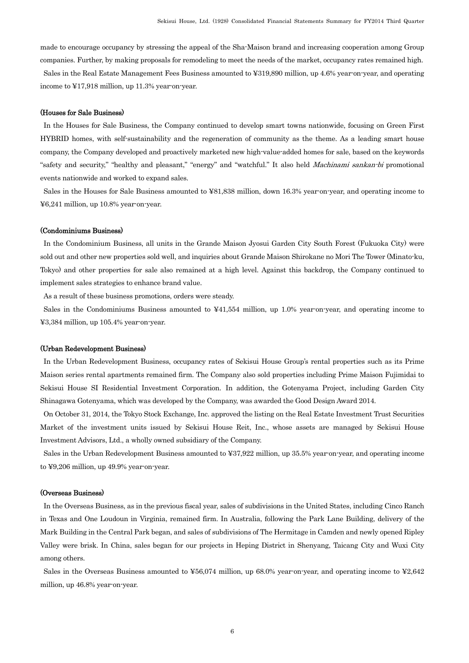made to encourage occupancy by stressing the appeal of the Sha-Maison brand and increasing cooperation among Group companies. Further, by making proposals for remodeling to meet the needs of the market, occupancy rates remained high. Sales in the Real Estate Management Fees Business amounted to ¥319,890 million, up 4.6% year-on-year, and operating income to ¥17,918 million, up 11.3% year-on-year.

#### (Houses for Sale Business)

In the Houses for Sale Business, the Company continued to develop smart towns nationwide, focusing on Green First HYBRID homes, with self-sustainability and the regeneration of community as the theme. As a leading smart house company, the Company developed and proactively marketed new high-value-added homes for sale, based on the keywords "safety and security," "healthy and pleasant," "energy" and "watchful." It also held Machinami sankan-bi promotional events nationwide and worked to expand sales.

Sales in the Houses for Sale Business amounted to ¥81,838 million, down 16.3% year-on-year, and operating income to ¥6,241 million, up 10.8% year-on-year.

#### (Condominiums Business)

In the Condominium Business, all units in the Grande Maison Jyosui Garden City South Forest (Fukuoka City) were sold out and other new properties sold well, and inquiries about Grande Maison Shirokane no Mori The Tower (Minato-ku, Tokyo) and other properties for sale also remained at a high level. Against this backdrop, the Company continued to implement sales strategies to enhance brand value.

As a result of these business promotions, orders were steady.

Sales in the Condominiums Business amounted to ¥41,554 million, up 1.0% year-on-year, and operating income to ¥3,384 million, up 105.4% year-on-year.

#### (Urban Redevelopment Business)

In the Urban Redevelopment Business, occupancy rates of Sekisui House Group's rental properties such as its Prime Maison series rental apartments remained firm. The Company also sold properties including Prime Maison Fujimidai to Sekisui House SI Residential Investment Corporation. In addition, the Gotenyama Project, including Garden City Shinagawa Gotenyama, which was developed by the Company, was awarded the Good Design Award 2014.

On October 31, 2014, the Tokyo Stock Exchange, Inc. approved the listing on the Real Estate Investment Trust Securities Market of the investment units issued by Sekisui House Reit, Inc., whose assets are managed by Sekisui House Investment Advisors, Ltd., a wholly owned subsidiary of the Company.

Sales in the Urban Redevelopment Business amounted to ¥37,922 million, up 35.5% year-on-year, and operating income to ¥9,206 million, up 49.9% year-on-year.

#### (Overseas Business)

In the Overseas Business, as in the previous fiscal year, sales of subdivisions in the United States, including Cinco Ranch in Texas and One Loudoun in Virginia, remained firm. In Australia, following the Park Lane Building, delivery of the Mark Building in the Central Park began, and sales of subdivisions of The Hermitage in Camden and newly opened Ripley Valley were brisk. In China, sales began for our projects in Heping District in Shenyang, Taicang City and Wuxi City among others.

Sales in the Overseas Business amounted to ¥56,074 million, up 68.0% year-on-year, and operating income to ¥2,642 million, up 46.8% year-on-year.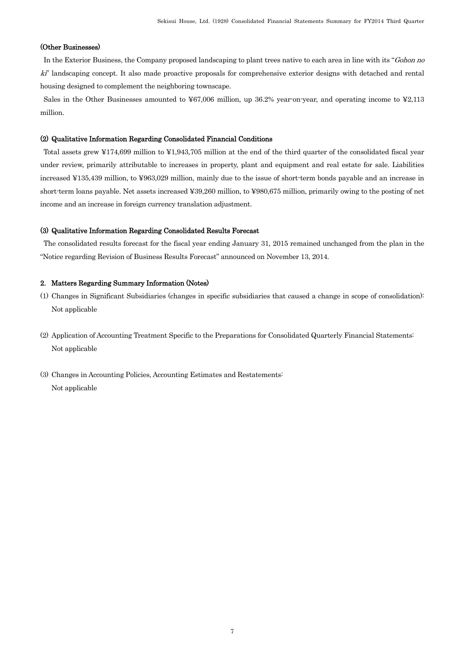## (Other Businesses)

In the Exterior Business, the Company proposed landscaping to plant trees native to each area in line with its "Gohon no ki" landscaping concept. It also made proactive proposals for comprehensive exterior designs with detached and rental housing designed to complement the neighboring townscape.

Sales in the Other Businesses amounted to ¥67,006 million, up 36.2% year-on-year, and operating income to ¥2,113 million.

#### (2) Qualitative Information Regarding Consolidated Financial Conditions

Total assets grew ¥174,699 million to ¥1,943,705 million at the end of the third quarter of the consolidated fiscal year under review, primarily attributable to increases in property, plant and equipment and real estate for sale. Liabilities increased ¥135,439 million, to ¥963,029 million, mainly due to the issue of short-term bonds payable and an increase in short-term loans payable. Net assets increased ¥39,260 million, to ¥980,675 million, primarily owing to the posting of net income and an increase in foreign currency translation adjustment.

#### (3) Qualitative Information Regarding Consolidated Results Forecast

The consolidated results forecast for the fiscal year ending January 31, 2015 remained unchanged from the plan in the "Notice regarding Revision of Business Results Forecast" announced on November 13, 2014.

### 2. Matters Regarding Summary Information (Notes)

- (1) Changes in Significant Subsidiaries (changes in specific subsidiaries that caused a change in scope of consolidation): Not applicable
- (2) Application of Accounting Treatment Specific to the Preparations for Consolidated Quarterly Financial Statements: Not applicable
- (3) Changes in Accounting Policies, Accounting Estimates and Restatements: Not applicable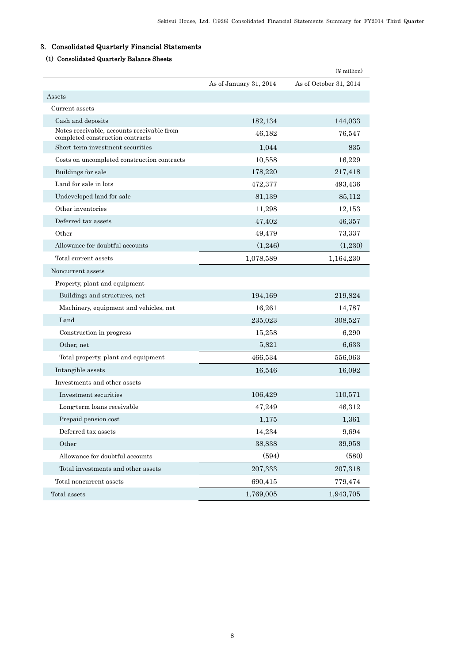## 3. Consolidated Quarterly Financial Statements

## (1) Consolidated Quarterly Balance Sheets

|                                                                                |                        | (¥ million)            |
|--------------------------------------------------------------------------------|------------------------|------------------------|
|                                                                                | As of January 31, 2014 | As of October 31, 2014 |
| Assets                                                                         |                        |                        |
| Current assets                                                                 |                        |                        |
| Cash and deposits                                                              | 182,134                | 144,033                |
| Notes receivable, accounts receivable from<br>completed construction contracts | 46,182                 | 76,547                 |
| Short term investment securities                                               | 1,044                  | 835                    |
| Costs on uncompleted construction contracts                                    | 10,558                 | 16,229                 |
| Buildings for sale                                                             | 178,220                | 217,418                |
| Land for sale in lots                                                          | 472,377                | 493,436                |
| Undeveloped land for sale                                                      | 81,139                 | 85,112                 |
| Other inventories                                                              | 11,298                 | 12,153                 |
| Deferred tax assets                                                            | 47,402                 | 46,357                 |
| Other                                                                          | 49,479                 | 73,337                 |
| Allowance for doubtful accounts                                                | (1,246)                | (1,230)                |
| Total current assets                                                           | 1,078,589              | 1,164,230              |
| Noncurrent assets                                                              |                        |                        |
| Property, plant and equipment                                                  |                        |                        |
| Buildings and structures, net                                                  | 194,169                | 219,824                |
| Machinery, equipment and vehicles, net                                         | 16,261                 | 14,787                 |
| Land                                                                           | 235,023                | 308,527                |
| Construction in progress                                                       | 15,258                 | 6,290                  |
| Other, net                                                                     | 5,821                  | 6,633                  |
| Total property, plant and equipment                                            | 466,534                | 556,063                |
| Intangible assets                                                              | 16,546                 | 16,092                 |
| Investments and other assets                                                   |                        |                        |
| Investment securities                                                          | 106,429                | 110,571                |
| Long term loans receivable                                                     | 47,249                 | 46,312                 |
| Prepaid pension cost                                                           | 1,175                  | 1,361                  |
| Deferred tax assets                                                            | 14,234                 | 9,694                  |
| Other                                                                          | 38,838                 | 39,958                 |
| Allowance for doubtful accounts                                                | (594)                  | (580)                  |
| Total investments and other assets                                             | 207,333                | 207,318                |
| Total noncurrent assets                                                        | 690,415                | 779,474                |
| Total assets                                                                   | 1,769,005              | 1,943,705              |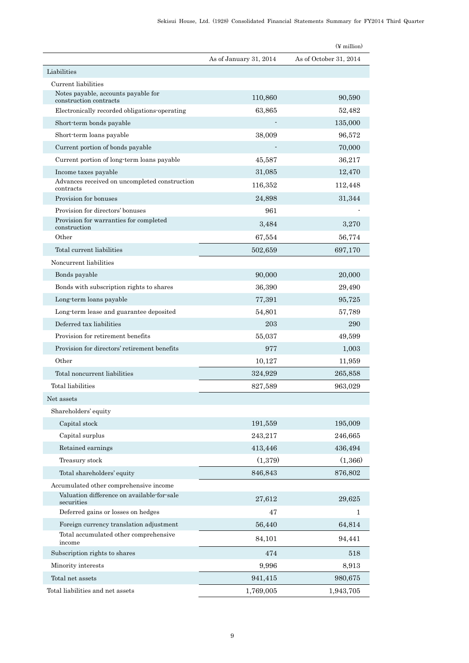|                                                               |                        | $(\frac{y}{x})$ million |
|---------------------------------------------------------------|------------------------|-------------------------|
|                                                               | As of January 31, 2014 | As of October 31, 2014  |
| Liabilities                                                   |                        |                         |
| Current liabilities                                           |                        |                         |
| Notes payable, accounts payable for<br>construction contracts | 110,860                | 90,590                  |
| Electronically recorded obligations operating                 | 63,865                 | 52,482                  |
| Short-term bonds payable                                      |                        | 135,000                 |
| Short-term loans payable                                      | 38,009                 | 96,572                  |
| Current portion of bonds payable                              |                        | 70,000                  |
| Current portion of long-term loans payable                    | 45,587                 | 36,217                  |
| Income taxes payable                                          | 31,085                 | 12,470                  |
| Advances received on uncompleted construction<br>contracts    | 116,352                | 112,448                 |
| Provision for bonuses                                         | 24,898                 | 31,344                  |
| Provision for directors' bonuses                              | 961                    |                         |
| Provision for warranties for completed                        | 3,484                  | 3,270                   |
| construction<br>Other                                         | 67,554                 | 56,774                  |
| Total current liabilities                                     | 502,659                | 697,170                 |
|                                                               |                        |                         |
| Noncurrent liabilities                                        |                        |                         |
| Bonds payable                                                 | 90,000                 | 20,000                  |
| Bonds with subscription rights to shares                      | 36,390                 | 29,490                  |
| Long-term loans payable                                       | 77,391                 | 95,725                  |
| Long term lease and guarantee deposited                       | 54,801                 | 57,789                  |
| Deferred tax liabilities                                      | 203                    | 290                     |
| Provision for retirement benefits                             | 55,037                 | 49,599                  |
| Provision for directors' retirement benefits                  | 977                    | 1,003                   |
| Other                                                         | 10,127                 | 11,959                  |
| Total noncurrent liabilities                                  | 324,929                | 265,858                 |
| Total liabilities                                             | 827,589                | 963,029                 |
| Net assets                                                    |                        |                         |
| Shareholders' equity                                          |                        |                         |
| Capital stock                                                 | 191,559                | 195,009                 |
| Capital surplus                                               | 243,217                | 246,665                 |
| Retained earnings                                             | 413,446                | 436,494                 |
| Treasury stock                                                | (1,379)                | (1,366)                 |
| Total shareholders' equity                                    | 846,843                | 876,802                 |
| Accumulated other comprehensive income                        |                        |                         |
| Valuation difference on available-for-sale<br>securities      | 27,612                 | 29,625                  |
| Deferred gains or losses on hedges                            | 47                     | 1                       |
| Foreign currency translation adjustment                       | 56,440                 | 64,814                  |
| Total accumulated other comprehensive<br>income               | 84,101                 | 94,441                  |
| Subscription rights to shares                                 | 474                    | 518                     |
| Minority interests                                            | 9,996                  | 8,913                   |
| Total net assets                                              | 941,415                | 980,675                 |
| Total liabilities and net assets                              | 1,769,005              | 1,943,705               |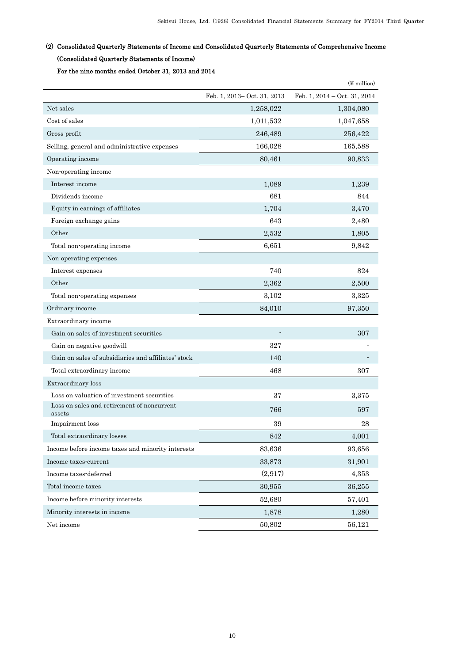## (2) Consolidated Quarterly Statements of Income and Consolidated Quarterly Statements of Comprehensive Income (Consolidated Quarterly Statements of Income)

For the nine months ended October 31, 2013 and 2014

|                                                      |                              | $(\frac{y}{x})$ million        |
|------------------------------------------------------|------------------------------|--------------------------------|
|                                                      | Feb. 1, 2013 - Oct. 31, 2013 | Feb. 1, $2014 - Oct. 31, 2014$ |
| Net sales                                            | 1,258,022                    | 1,304,080                      |
| Cost of sales                                        | 1,011,532                    | 1,047,658                      |
| Gross profit                                         | 246,489                      | 256,422                        |
| Selling, general and administrative expenses         | 166,028                      | 165,588                        |
| Operating income                                     | 80,461                       | 90,833                         |
| Non-operating income                                 |                              |                                |
| Interest income                                      | 1,089                        | 1,239                          |
| Dividends income                                     | 681                          | 844                            |
| Equity in earnings of affiliates                     | 1,704                        | 3,470                          |
| Foreign exchange gains                               | 643                          | 2,480                          |
| Other                                                | 2,532                        | 1,805                          |
| Total non-operating income                           | 6,651                        | 9,842                          |
| Non-operating expenses                               |                              |                                |
| Interest expenses                                    | 740                          | 824                            |
| Other                                                | 2,362                        | 2,500                          |
| Total non-operating expenses                         | 3,102                        | 3,325                          |
| Ordinary income                                      | 84,010                       | 97,350                         |
| Extraordinary income                                 |                              |                                |
| Gain on sales of investment securities               |                              | 307                            |
| Gain on negative goodwill                            | 327                          |                                |
| Gain on sales of subsidiaries and affiliates' stock  | 140                          |                                |
| Total extraordinary income                           | 468                          | 307                            |
| Extraordinary loss                                   |                              |                                |
| Loss on valuation of investment securities           | 37                           | 3,375                          |
| Loss on sales and retirement of noncurrent<br>assets | 766                          | 597                            |
| Impairment loss                                      | 39                           | 28                             |
| Total extraordinary losses                           | 842                          | 4,001                          |
| Income before income taxes and minority interests    | 83,636                       | 93,656                         |
| Income taxes-current                                 | 33,873                       | 31,901                         |
| Income taxes-deferred                                | (2,917)                      | 4,353                          |
| Total income taxes                                   | 30,955                       | 36,255                         |
| Income before minority interests                     | 52,680                       | 57,401                         |
| Minority interests in income                         | 1,878                        | 1,280                          |
| Net income                                           | 50,802                       | 56,121                         |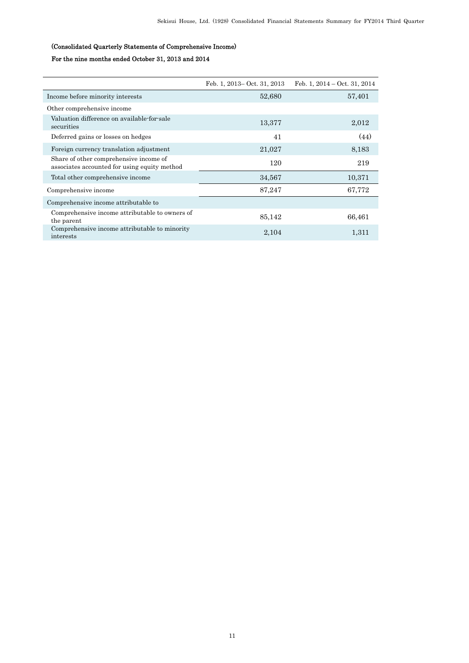## (Consolidated Quarterly Statements of Comprehensive Income)

## For the nine months ended October 31, 2013 and 2014

|                                                                                        | Feb. 1, 2013– Oct. 31, 2013 | Feb. 1, $2014 - Oct. 31, 2014$ |
|----------------------------------------------------------------------------------------|-----------------------------|--------------------------------|
| Income before minority interests                                                       | 52,680                      | 57,401                         |
| Other comprehensive income                                                             |                             |                                |
| Valuation difference on available-for-sale<br>securities                               | 13,377                      | 2,012                          |
| Deferred gains or losses on hedges                                                     | 41                          | (44)                           |
| Foreign currency translation adjustment                                                | 21,027                      | 8,183                          |
| Share of other comprehensive income of<br>associates accounted for using equity method | 120                         | 219                            |
| Total other comprehensive income                                                       | 34,567                      | 10,371                         |
| Comprehensive income                                                                   | 87,247                      | 67,772                         |
| Comprehensive income attributable to                                                   |                             |                                |
| Comprehensive income attributable to owners of<br>the parent                           | 85,142                      | 66,461                         |
| Comprehensive income attributable to minority<br>interests                             | 2,104                       | 1,311                          |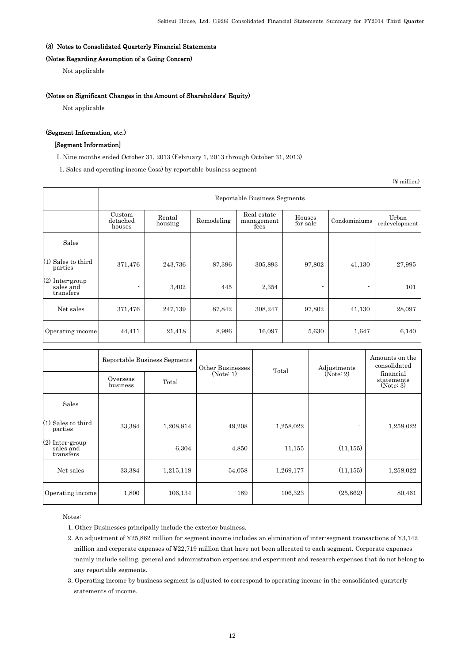### (3) Notes to Consolidated Quarterly Financial Statements

#### (Notes Regarding Assumption of a Going Concern)

Not applicable

#### (Notes on Significant Changes in the Amount of Shareholders' Equity)

Not applicable

#### (Segment Information, etc.)

### [Segment Information]

I. Nine months ended October 31, 2013 (February 1, 2013 through October 31, 2013)

1. Sales and operating income (loss) by reportable business segment

(¥ million)

|                                             | Reportable Business Segments |                   |            |                                   |                    |              |                        |  |  |
|---------------------------------------------|------------------------------|-------------------|------------|-----------------------------------|--------------------|--------------|------------------------|--|--|
|                                             | Custom<br>detached<br>houses | Rental<br>housing | Remodeling | Real estate<br>management<br>fees | Houses<br>for sale | Condominiums | Urban<br>redevelopment |  |  |
| Sales                                       |                              |                   |            |                                   |                    |              |                        |  |  |
| $(1)$ Sales to third<br>parties             | 371,476                      | 243,736           | 87,396     | 305,893                           | 97,802             | 41,130       | 27,995                 |  |  |
| $(2)$ Inter-group<br>sales and<br>transfers |                              | 3,402             | 445        | 2,354                             |                    | ٠            | 101                    |  |  |
| Net sales                                   | 371,476                      | 247,139           | 87,842     | 308,247                           | 97,802             | 41,130       | 28,097                 |  |  |
| Operating income                            | 44,411                       | 21,418            | 8,986      | 16,097                            | 5,630              | 1,647        | 6,140                  |  |  |

|                                           | Overseas       | Reportable Business Segments<br>Total | Other Businesses<br>(Note: 1) | Total     | Adjustments<br>(Note: 2) | Amounts on the<br>consolidated<br>financial<br>statements |
|-------------------------------------------|----------------|---------------------------------------|-------------------------------|-----------|--------------------------|-----------------------------------------------------------|
|                                           | business       |                                       |                               |           |                          | (Note: 3)                                                 |
| Sales                                     |                |                                       |                               |           |                          |                                                           |
| $(1)$ Sales to third<br>parties           | 33,384         | 1,208,814                             | 49,208                        | 1,258,022 |                          | 1,258,022                                                 |
| (2) Inter group<br>sales and<br>transfers | $\blacksquare$ | 6,304                                 | 4,850                         | 11,155    | (11, 155)                |                                                           |
| Net sales                                 | 33,384         | 1,215,118                             | 54,058                        | 1,269,177 | (11, 155)                | 1,258,022                                                 |
| Operating income                          | 1,800          | 106,134                               | 189                           | 106,323   | (25, 862)                | 80,461                                                    |

Notes:

1. Other Businesses principally include the exterior business.

- 2. An adjustment of ¥25,862 million for segment income includes an elimination of inter-segment transactions of ¥3,142 million and corporate expenses of ¥22,719 million that have not been allocated to each segment. Corporate expenses mainly include selling, general and administration expenses and experiment and research expenses that do not belong to any reportable segments.
- 3. Operating income by business segment is adjusted to correspond to operating income in the consolidated quarterly statements of income.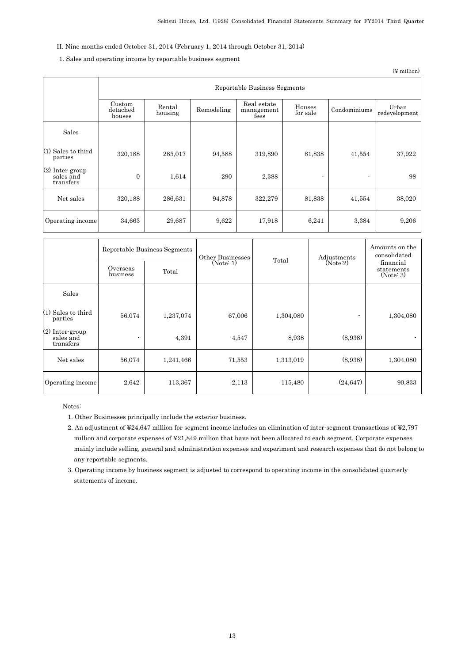## II. Nine months ended October 31, 2014 (February 1, 2014 through October 31, 2014)

### 1. Sales and operating income by reportable business segment

(¥ million)

|                                             | Reportable Business Segments |                   |            |                                   |                    |                          |                        |  |
|---------------------------------------------|------------------------------|-------------------|------------|-----------------------------------|--------------------|--------------------------|------------------------|--|
|                                             | Custom<br>detached<br>houses | Rental<br>housing | Remodeling | Real estate<br>management<br>fees | Houses<br>for sale | Condominiums             | Urban<br>redevelopment |  |
| Sales                                       |                              |                   |            |                                   |                    |                          |                        |  |
| $(1)$ Sales to third<br>parties             | 320,188                      | 285,017           | 94.588     | 319,890                           | 81,838             | 41,554                   | 37,922                 |  |
| $(2)$ Inter-group<br>sales and<br>transfers | $\Omega$                     | 1,614             | 290        | 2,388                             | ٠                  | $\overline{\phantom{a}}$ | 98                     |  |
| Net sales                                   | 320,188                      | 286,631           | 94,878     | 322,279                           | 81,838             | 41,554                   | 38,020                 |  |
| Operating income                            | 34,663                       | 29,687            | 9,622      | 17,918                            | 6,241              | 3,384                    | 9,206                  |  |

|                                           | Overseas<br>business | Reportable Business Segments<br>Total | Other Businesses<br>(Note: 1) | Total     | Adjustments<br>(Note:2) | Amounts on the<br>consolidated<br>financial<br>statements<br>(Note: 3) |
|-------------------------------------------|----------------------|---------------------------------------|-------------------------------|-----------|-------------------------|------------------------------------------------------------------------|
| Sales                                     |                      |                                       |                               |           |                         |                                                                        |
| $(1)$ Sales to third<br>parties           | 56,074               | 1,237,074                             | 67,006                        | 1,304,080 | ٠                       | 1,304,080                                                              |
| (2) Inter-group<br>sales and<br>transfers | ٠                    | 4,391                                 | 4,547                         | 8,938     | (8.938)                 |                                                                        |
| Net sales                                 | 56,074               | 1,241,466                             | 71,553                        | 1,313,019 | (8.938)                 | 1,304,080                                                              |
| Operating income                          | 2,642                | 113,367                               | 2,113                         | 115,480   | (24, 647)               | 90,833                                                                 |

Notes:

1. Other Businesses principally include the exterior business.

2. An adjustment of ¥24,647 million for segment income includes an elimination of inter-segment transactions of ¥2,797 million and corporate expenses of ¥21,849 million that have not been allocated to each segment. Corporate expenses mainly include selling, general and administration expenses and experiment and research expenses that do not belong to any reportable segments.

3. Operating income by business segment is adjusted to correspond to operating income in the consolidated quarterly statements of income.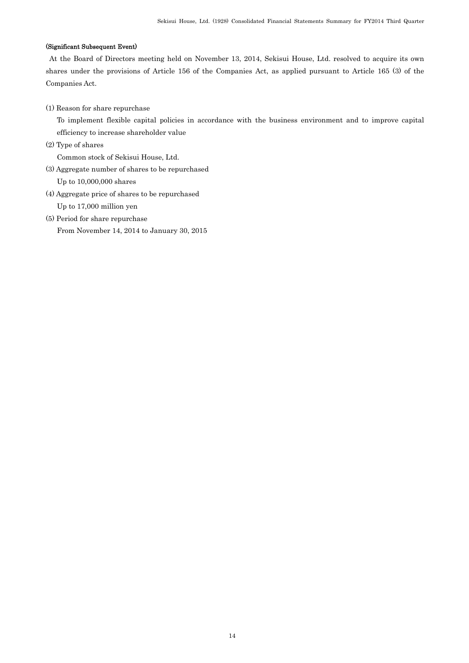## (Significant Subsequent Event)

 At the Board of Directors meeting held on November 13, 2014, Sekisui House, Ltd. resolved to acquire its own shares under the provisions of Article 156 of the Companies Act, as applied pursuant to Article 165 (3) of the Companies Act.

(1) Reason for share repurchase

To implement flexible capital policies in accordance with the business environment and to improve capital efficiency to increase shareholder value

(2) Type of shares

Common stock of Sekisui House, Ltd.

- (3) Aggregate number of shares to be repurchased Up to 10,000,000 shares
- (4) Aggregate price of shares to be repurchased Up to 17,000 million yen
- (5) Period for share repurchase From November 14, 2014 to January 30, 2015